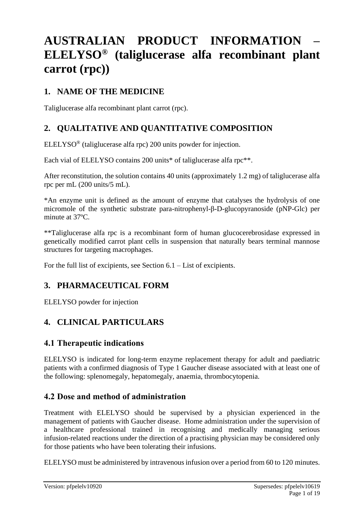# **AUSTRALIAN PRODUCT INFORMATION – ELELYSO® (taliglucerase alfa recombinant plant carrot (rpc))**

# **1. NAME OF THE MEDICINE**

Taliglucerase alfa recombinant plant carrot (rpc).

# **2. QUALITATIVE AND QUANTITATIVE COMPOSITION**

ELELYSO® (taliglucerase alfa rpc) 200 units powder for injection.

Each vial of ELELYSO contains 200 units\* of taliglucerase alfa rpc\*\*.

After reconstitution, the solution contains 40 units (approximately 1.2 mg) of taliglucerase alfa rpc per mL (200 units/5 mL).

\*An enzyme unit is defined as the amount of enzyme that catalyses the hydrolysis of one micromole of the synthetic substrate para-nitrophenyl-β-D-glucopyranoside (pNP-Glc) per minute at 37ºC.

\*\*Taliglucerase alfa rpc is a recombinant form of human glucocerebrosidase expressed in genetically modified carrot plant cells in suspension that naturally bears terminal mannose structures for targeting macrophages.

For the full list of excipients, see Section 6.1 – List of excipients.

# **3. PHARMACEUTICAL FORM**

ELELYSO powder for injection

# **4. CLINICAL PARTICULARS**

# **4.1 Therapeutic indications**

ELELYSO is indicated for long-term enzyme replacement therapy for adult and paediatric patients with a confirmed diagnosis of Type 1 Gaucher disease associated with at least one of the following: splenomegaly, hepatomegaly, anaemia, thrombocytopenia.

# **4.2 Dose and method of administration**

Treatment with ELELYSO should be supervised by a physician experienced in the management of patients with Gaucher disease. Home administration under the supervision of a healthcare professional trained in recognising and medically managing serious infusion-related reactions under the direction of a practising physician may be considered only for those patients who have been tolerating their infusions.

ELELYSO must be administered by intravenous infusion over a period from 60 to 120 minutes.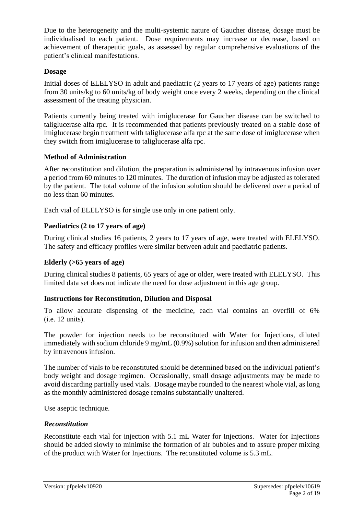Due to the heterogeneity and the multi-systemic nature of Gaucher disease, dosage must be individualised to each patient. Dose requirements may increase or decrease, based on achievement of therapeutic goals, as assessed by regular comprehensive evaluations of the patient's clinical manifestations.

#### **Dosage**

Initial doses of ELELYSO in adult and paediatric (2 years to 17 years of age) patients range from 30 units/kg to 60 units/kg of body weight once every 2 weeks, depending on the clinical assessment of the treating physician.

Patients currently being treated with imiglucerase for Gaucher disease can be switched to taliglucerase alfa rpc. It is recommended that patients previously treated on a stable dose of imiglucerase begin treatment with taliglucerase alfa rpc at the same dose of imiglucerase when they switch from imiglucerase to taliglucerase alfa rpc.

#### **Method of Administration**

After reconstitution and dilution, the preparation is administered by intravenous infusion over a period from 60 minutes to 120 minutes. The duration of infusion may be adjusted as tolerated by the patient. The total volume of the infusion solution should be delivered over a period of no less than 60 minutes.

Each vial of ELELYSO is for single use only in one patient only.

### **Paediatrics (2 to 17 years of age)**

During clinical studies 16 patients, 2 years to 17 years of age, were treated with ELELYSO. The safety and efficacy profiles were similar between adult and paediatric patients.

#### **Elderly (>65 years of age)**

During clinical studies 8 patients, 65 years of age or older, were treated with ELELYSO. This limited data set does not indicate the need for dose adjustment in this age group.

#### **Instructions for Reconstitution, Dilution and Disposal**

To allow accurate dispensing of the medicine, each vial contains an overfill of 6% (i.e. 12 units).

The powder for injection needs to be reconstituted with Water for Injections, diluted immediately with sodium chloride 9 mg/mL (0.9%) solution for infusion and then administered by intravenous infusion.

The number of vials to be reconstituted should be determined based on the individual patient's body weight and dosage regimen. Occasionally, small dosage adjustments may be made to avoid discarding partially used vials. Dosage maybe rounded to the nearest whole vial, as long as the monthly administered dosage remains substantially unaltered.

Use aseptic technique.

#### *Reconstitution*

Reconstitute each vial for injection with 5.1 mL Water for Injections. Water for Injections should be added slowly to minimise the formation of air bubbles and to assure proper mixing of the product with Water for Injections. The reconstituted volume is 5.3 mL.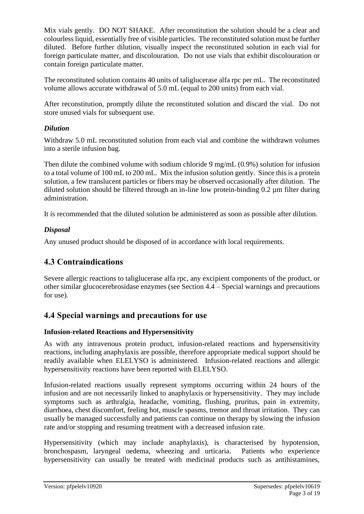Mix vials gently. DO NOT SHAKE. After reconstitution the solution should be a clear and colourless liquid, essentially free of visible particles. The reconstituted solution must be further diluted. Before further dilution, visually inspect the reconstituted solution in each vial for foreign particulate matter, and discolouration. Do not use vials that exhibit discolouration or contain foreign particulate matter.

The reconstituted solution contains 40 units of taliglucerase alfa rpc per mL. The reconstituted volume allows accurate withdrawal of 5.0 mL (equal to 200 units) from each vial.

After reconstitution, promptly dilute the reconstituted solution and discard the vial. Do not store unused vials for subsequent use.

### *Dilution*

Withdraw 5.0 mL reconstituted solution from each vial and combine the withdrawn volumes into a sterile infusion bag.

Then dilute the combined volume with sodium chloride 9 mg/mL (0.9%) solution for infusion to a total volume of 100 mL to 200 mL. Mix the infusion solution gently. Since this is a protein solution, a few translucent particles or fibers may be observed occasionally after dilution. The diluted solution should be filtered through an in-line low protein-binding 0.2 µm filter during administration.

It is recommended that the diluted solution be administered as soon as possible after dilution.

### *Disposal*

Any unused product should be disposed of in accordance with local requirements.

# **4.3 Contraindications**

Severe allergic reactions to taliglucerase alfa rpc, any excipient components of the product, or other similar glucocerebrosidase enzymes (see Section 4.4 – Special warnings and precautions for use).

# **4.4 Special warnings and precautions for use**

### **Infusion-related Reactions and Hypersensitivity**

As with any intravenous protein product, infusion-related reactions and hypersensitivity reactions, including anaphylaxis are possible, therefore appropriate medical support should be readily available when ELELYSO is administered. Infusion-related reactions and allergic hypersensitivity reactions have been reported with ELELYSO.

Infusion-related reactions usually represent symptoms occurring within 24 hours of the infusion and are not necessarily linked to anaphylaxis or hypersensitivity. They may include symptoms such as arthralgia, headache, vomiting, flushing, pruritus, pain in extremity, diarrhoea, chest discomfort, feeling hot, muscle spasms, tremor and throat irritation. They can usually be managed successfully and patients can continue on therapy by slowing the infusion rate and/or stopping and resuming treatment with a decreased infusion rate.

Hypersensitivity (which may include anaphylaxis), is characterised by hypotension, bronchospasm, laryngeal oedema, wheezing and urticaria. Patients who experience hypersensitivity can usually be treated with medicinal products such as antihistamines,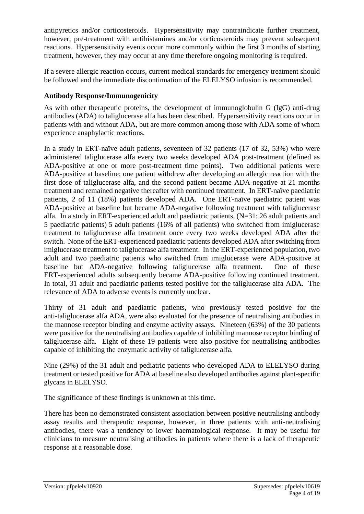antipyretics and/or corticosteroids. Hypersensitivity may contraindicate further treatment, however, pre-treatment with antihistamines and/or corticosteroids may prevent subsequent reactions. Hypersensitivity events occur more commonly within the first 3 months of starting treatment, however, they may occur at any time therefore ongoing monitoring is required.

If a severe allergic reaction occurs, current medical standards for emergency treatment should be followed and the immediate discontinuation of the ELELYSO infusion is recommended.

### **Antibody Response/Immunogenicity**

As with other therapeutic proteins, the development of immunoglobulin G (IgG) anti-drug antibodies (ADA) to taliglucerase alfa has been described. Hypersensitivity reactions occur in patients with and without ADA, but are more common among those with ADA some of whom experience anaphylactic reactions.

In a study in ERT-naïve adult patients, seventeen of 32 patients (17 of 32, 53%) who were administered taliglucerase alfa every two weeks developed ADA post-treatment (defined as ADA-positive at one or more post-treatment time points). Two additional patients were ADA-positive at baseline; one patient withdrew after developing an allergic reaction with the first dose of taliglucerase alfa, and the second patient became ADA-negative at 21 months treatment and remained negative thereafter with continued treatment. In ERT-naïve paediatric patients, 2 of 11 (18%) patients developed ADA. One ERT-naïve paediatric patient was ADA-positive at baseline but became ADA-negative following treatment with taliglucerase alfa. In a study in ERT-experienced adult and paediatric patients, (N=31; 26 adult patients and 5 paediatric patients) 5 adult patients (16% of all patients) who switched from imiglucerase treatment to taliglucerase alfa treatment once every two weeks developed ADA after the switch. None of the ERT-experienced paediatric patients developed ADA after switching from imiglucerase treatment to taliglucerase alfa treatment. In the ERT-experienced population, two adult and two paediatric patients who switched from imiglucerase were ADA-positive at baseline but ADA-negative following taliglucerase alfa treatment. One of these ERT-experienced adults subsequently became ADA-positive following continued treatment. In total, 31 adult and paediatric patients tested positive for the taliglucerase alfa ADA. The relevance of ADA to adverse events is currently unclear.

Thirty of 31 adult and paediatric patients, who previously tested positive for the anti-taliglucerase alfa ADA, were also evaluated for the presence of neutralising antibodies in the mannose receptor binding and enzyme activity assays. Nineteen (63%) of the 30 patients were positive for the neutralising antibodies capable of inhibiting mannose receptor binding of taliglucerase alfa. Eight of these 19 patients were also positive for neutralising antibodies capable of inhibiting the enzymatic activity of taliglucerase alfa.

Nine (29%) of the 31 adult and pediatric patients who developed ADA to ELELYSO during treatment or tested positive for ADA at baseline also developed antibodies against plant-specific glycans in ELELYSO.

The significance of these findings is unknown at this time.

There has been no demonstrated consistent association between positive neutralising antibody assay results and therapeutic response, however, in three patients with anti-neutralising antibodies, there was a tendency to lower haematological response. It may be useful for clinicians to measure neutralising antibodies in patients where there is a lack of therapeutic response at a reasonable dose.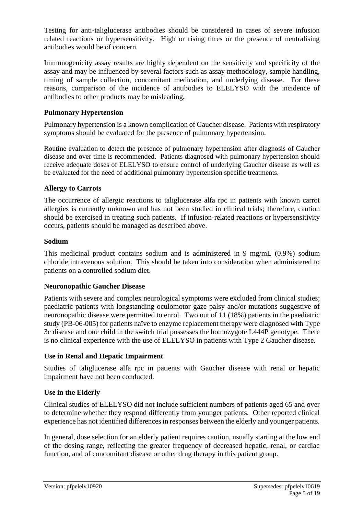Testing for anti-taliglucerase antibodies should be considered in cases of severe infusion related reactions or hypersensitivity. High or rising titres or the presence of neutralising antibodies would be of concern.

Immunogenicity assay results are highly dependent on the sensitivity and specificity of the assay and may be influenced by several factors such as assay methodology, sample handling, timing of sample collection, concomitant medication, and underlying disease. For these reasons, comparison of the incidence of antibodies to ELELYSO with the incidence of antibodies to other products may be misleading.

### **Pulmonary Hypertension**

Pulmonary hypertension is a known complication of Gaucher disease. Patients with respiratory symptoms should be evaluated for the presence of pulmonary hypertension.

Routine evaluation to detect the presence of pulmonary hypertension after diagnosis of Gaucher disease and over time is recommended. Patients diagnosed with pulmonary hypertension should receive adequate doses of ELELYSO to ensure control of underlying Gaucher disease as well as be evaluated for the need of additional pulmonary hypertension specific treatments.

#### **Allergy to Carrots**

The occurrence of allergic reactions to taliglucerase alfa rpc in patients with known carrot allergies is currently unknown and has not been studied in clinical trials; therefore, caution should be exercised in treating such patients. If infusion-related reactions or hypersensitivity occurs, patients should be managed as described above.

#### **Sodium**

This medicinal product contains sodium and is administered in 9 mg/mL (0.9%) sodium chloride intravenous solution. This should be taken into consideration when administered to patients on a controlled sodium diet.

#### **Neuronopathic Gaucher Disease**

Patients with severe and complex neurological symptoms were excluded from clinical studies; paediatric patients with longstanding oculomotor gaze palsy and/or mutations suggestive of neuronopathic disease were permitted to enrol. Two out of 11 (18%) patients in the paediatric study (PB-06-005) for patients naïve to enzyme replacement therapy were diagnosed with Type 3c disease and one child in the switch trial possesses the homozygote L444P genotype. There is no clinical experience with the use of ELELYSO in patients with Type 2 Gaucher disease.

#### **Use in Renal and Hepatic Impairment**

Studies of taliglucerase alfa rpc in patients with Gaucher disease with renal or hepatic impairment have not been conducted.

#### **Use in the Elderly**

Clinical studies of ELELYSO did not include sufficient numbers of patients aged 65 and over to determine whether they respond differently from younger patients. Other reported clinical experience has not identified differences in responses between the elderly and younger patients.

In general, dose selection for an elderly patient requires caution, usually starting at the low end of the dosing range, reflecting the greater frequency of decreased hepatic, renal, or cardiac function, and of concomitant disease or other drug therapy in this patient group.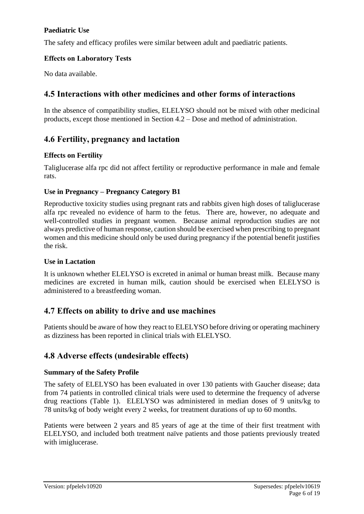### **Paediatric Use**

The safety and efficacy profiles were similar between adult and paediatric patients.

### **Effects on Laboratory Tests**

No data available.

# **4.5 Interactions with other medicines and other forms of interactions**

In the absence of compatibility studies, ELELYSO should not be mixed with other medicinal products, except those mentioned in Section 4.2 – Dose and method of administration.

# **4.6 Fertility, pregnancy and lactation**

### **Effects on Fertility**

Taliglucerase alfa rpc did not affect fertility or reproductive performance in male and female rats.

### **Use in Pregnancy – Pregnancy Category B1**

Reproductive toxicity studies using pregnant rats and rabbits given high doses of taliglucerase alfa rpc revealed no evidence of harm to the fetus. There are, however, no adequate and well-controlled studies in pregnant women. Because animal reproduction studies are not always predictive of human response, caution should be exercised when prescribing to pregnant women and this medicine should only be used during pregnancy if the potential benefit justifies the risk.

#### **Use in Lactation**

It is unknown whether ELELYSO is excreted in animal or human breast milk. Because many medicines are excreted in human milk, caution should be exercised when ELELYSO is administered to a breastfeeding woman.

# **4.7 Effects on ability to drive and use machines**

Patients should be aware of how they react to ELELYSO before driving or operating machinery as dizziness has been reported in clinical trials with ELELYSO.

# **4.8 Adverse effects (undesirable effects)**

#### **Summary of the Safety Profile**

The safety of ELELYSO has been evaluated in over 130 patients with Gaucher disease; data from 74 patients in controlled clinical trials were used to determine the frequency of adverse drug reactions [\(Table 1\)](#page-7-0). ELELYSO was administered in median doses of 9 units/kg to 78 units/kg of body weight every 2 weeks, for treatment durations of up to 60 months.

Patients were between 2 years and 85 years of age at the time of their first treatment with ELELYSO, and included both treatment naïve patients and those patients previously treated with imiglucerase.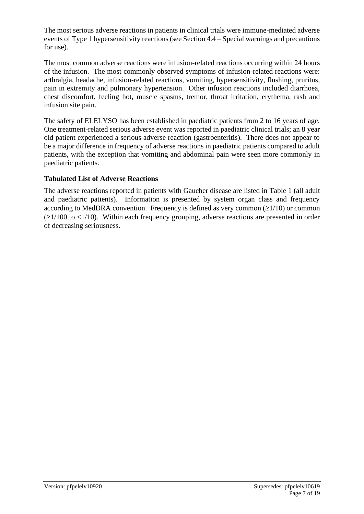The most serious adverse reactions in patients in clinical trials were immune-mediated adverse events of Type 1 hypersensitivity reactions (see Section 4.4 – Special warnings and precautions for use).

The most common adverse reactions were infusion-related reactions occurring within 24 hours of the infusion. The most commonly observed symptoms of infusion-related reactions were: arthralgia, headache, infusion-related reactions, vomiting, hypersensitivity, flushing, pruritus, pain in extremity and pulmonary hypertension. Other infusion reactions included diarrhoea, chest discomfort, feeling hot, muscle spasms, tremor, throat irritation, erythema, rash and infusion site pain.

The safety of ELELYSO has been established in paediatric patients from 2 to 16 years of age. One treatment-related serious adverse event was reported in paediatric clinical trials; an 8 year old patient experienced a serious adverse reaction (gastroenteritis). There does not appear to be a major difference in frequency of adverse reactions in paediatric patients compared to adult patients, with the exception that vomiting and abdominal pain were seen more commonly in paediatric patients.

### **Tabulated List of Adverse Reactions**

The adverse reactions reported in patients with Gaucher disease are listed in [Table 1](#page-7-0) (all adult and paediatric patients). Information is presented by system organ class and frequency according to MedDRA convention. Frequency is defined as very common  $(\geq 1/10)$  or common  $(\geq 1/100$  to  $\lt 1/10)$ . Within each frequency grouping, adverse reactions are presented in order of decreasing seriousness.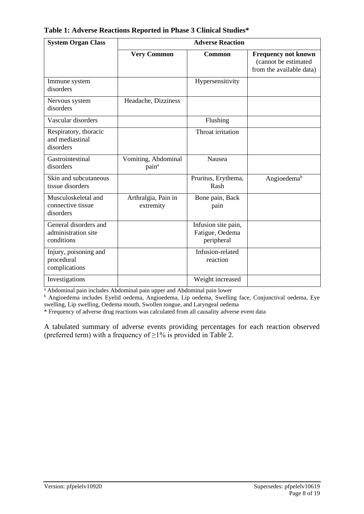| <b>Adverse Reaction</b><br><b>System Organ Class</b>       |                                          |                                                      |                                                                                |
|------------------------------------------------------------|------------------------------------------|------------------------------------------------------|--------------------------------------------------------------------------------|
|                                                            | <b>Very Common</b>                       | <b>Common</b>                                        | <b>Frequency not known</b><br>(cannot be estimated<br>from the available data) |
| Immune system<br>disorders                                 |                                          | Hypersensitivity                                     |                                                                                |
| Nervous system<br>disorders                                | Headache, Dizziness                      |                                                      |                                                                                |
| Vascular disorders                                         |                                          | Flushing                                             |                                                                                |
| Respiratory, thoracic<br>and mediastinal<br>disorders      |                                          | Throat irritation                                    |                                                                                |
| Gastrointestinal<br>disorders                              | Vomiting, Abdominal<br>pain <sup>a</sup> | <b>Nausea</b>                                        |                                                                                |
| Skin and subcutaneous<br>tissue disorders                  |                                          | Pruritus, Erythema,<br>Rash                          | Angioedema <sup>b</sup>                                                        |
| Musculoskeletal and<br>connective tissue<br>disorders      | Arthralgia, Pain in<br>extremity         | Bone pain, Back<br>pain                              |                                                                                |
| General disorders and<br>administration site<br>conditions |                                          | Infusion site pain,<br>Fatigue, Oedema<br>peripheral |                                                                                |
| Injury, poisoning and<br>procedural<br>complications       |                                          | Infusion-related<br>reaction                         |                                                                                |
| Investigations                                             |                                          | Weight increased                                     |                                                                                |

<span id="page-7-0"></span>**Table 1: Adverse Reactions Reported in Phase 3 Clinical Studies\***

<sup>a</sup> Abdominal pain includes Abdominal pain upper and Abdominal pain lower

<sup>b</sup> Angioedema includes Eyelid oedema, Angioedema, Lip oedema, Swelling face, Conjunctival oedema, Eye swelling, Lip swelling, Oedema mouth, Swollen tongue, and Laryngeal oedema

\* Frequency of adverse drug reactions was calculated from all causality adverse event data

A tabulated summary of adverse events providing percentages for each reaction observed (preferred term) with a frequency of  $\geq$ 1% is provided in [Table 2.](#page-8-0)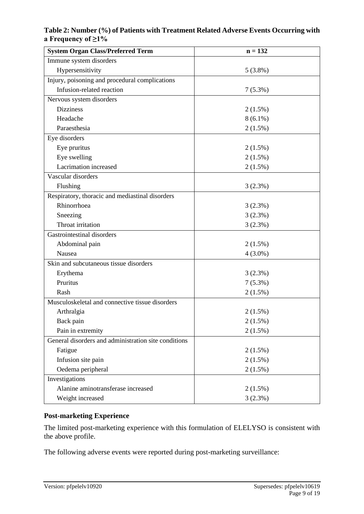### <span id="page-8-0"></span>**Table 2: Number (%) of Patients with Treatment Related Adverse Events Occurring with a Frequency of ≥1%**

| <b>System Organ Class/Preferred Term</b>             | $n = 132$  |  |  |
|------------------------------------------------------|------------|--|--|
| Immune system disorders                              |            |  |  |
| Hypersensitivity                                     | 5(3.8%)    |  |  |
| Injury, poisoning and procedural complications       |            |  |  |
| Infusion-related reaction                            | 7(5.3%)    |  |  |
| Nervous system disorders                             |            |  |  |
| <b>Dizziness</b>                                     | $2(1.5\%)$ |  |  |
| Headache                                             | $8(6.1\%)$ |  |  |
| Paraesthesia                                         | $2(1.5\%)$ |  |  |
| Eye disorders                                        |            |  |  |
| Eye pruritus                                         | $2(1.5\%)$ |  |  |
| Eye swelling                                         | $2(1.5\%)$ |  |  |
| Lacrimation increased                                | $2(1.5\%)$ |  |  |
| Vascular disorders                                   |            |  |  |
| Flushing                                             | 3(2.3%)    |  |  |
| Respiratory, thoracic and mediastinal disorders      |            |  |  |
| Rhinorrhoea                                          | 3(2.3%)    |  |  |
| Sneezing                                             | 3(2.3%)    |  |  |
| Throat irritation                                    | 3(2.3%)    |  |  |
| Gastrointestinal disorders                           |            |  |  |
| Abdominal pain                                       | $2(1.5\%)$ |  |  |
| Nausea                                               | $4(3.0\%)$ |  |  |
| Skin and subcutaneous tissue disorders               |            |  |  |
| Erythema                                             | 3(2.3%)    |  |  |
| Pruritus                                             | $7(5.3\%)$ |  |  |
| Rash                                                 | $2(1.5\%)$ |  |  |
| Musculoskeletal and connective tissue disorders      |            |  |  |
| Arthralgia                                           | $2(1.5\%)$ |  |  |
| Back pain                                            | 2(1.5%)    |  |  |
| Pain in extremity                                    | $2(1.5\%)$ |  |  |
| General disorders and administration site conditions |            |  |  |
| Fatigue                                              | $2(1.5\%)$ |  |  |
| Infusion site pain                                   | $2(1.5\%)$ |  |  |
| Oedema peripheral                                    | 2(1.5%)    |  |  |
| Investigations                                       |            |  |  |
| Alanine aminotransferase increased                   | $2(1.5\%)$ |  |  |
| Weight increased                                     | 3(2.3%)    |  |  |

# **Post-marketing Experience**

The limited post-marketing experience with this formulation of ELELYSO is consistent with the above profile.

The following adverse events were reported during post-marketing surveillance: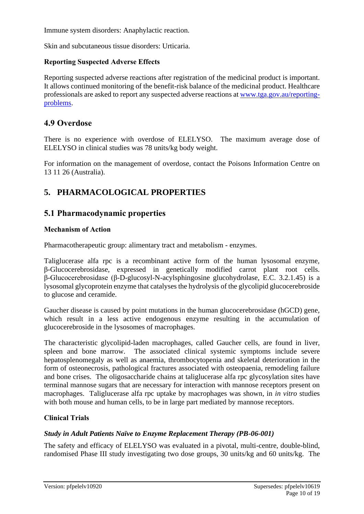Immune system disorders: Anaphylactic reaction.

Skin and subcutaneous tissue disorders: Urticaria.

#### **Reporting Suspected Adverse Effects**

Reporting suspected adverse reactions after registration of the medicinal product is important. It allows continued monitoring of the benefit-risk balance of the medicinal product. Healthcare professionals are asked to report any suspected adverse reactions at [www.tga.gov.au/reporting](http://www.tga.gov.au/reporting-problems)[problems.](http://www.tga.gov.au/reporting-problems)

### **4.9 Overdose**

There is no experience with overdose of ELELYSO. The maximum average dose of ELELYSO in clinical studies was 78 units/kg body weight.

For information on the management of overdose, contact the Poisons Information Centre on 13 11 26 (Australia).

# **5. PHARMACOLOGICAL PROPERTIES**

### **5.1 Pharmacodynamic properties**

#### **Mechanism of Action**

Pharmacotherapeutic group: alimentary tract and metabolism - enzymes.

Taliglucerase alfa rpc is a recombinant active form of the human lysosomal enzyme, β-Glucocerebrosidase, expressed in genetically modified carrot plant root cells. β-Glucocerebrosidase (β-D-glucosyl-N-acylsphingosine glucohydrolase, E.C. 3.2.1.45) is a lysosomal glycoprotein enzyme that catalyses the hydrolysis of the glycolipid glucocerebroside to glucose and ceramide.

Gaucher disease is caused by point mutations in the human glucocerebrosidase (hGCD) gene, which result in a less active endogenous enzyme resulting in the accumulation of glucocerebroside in the lysosomes of macrophages.

The characteristic glycolipid-laden macrophages, called Gaucher cells, are found in liver, spleen and bone marrow. The associated clinical systemic symptoms include severe hepatosplenomegaly as well as anaemia, thrombocytopenia and skeletal deterioration in the form of osteonecrosis, pathological fractures associated with osteopaenia, remodeling failure and bone crises. The oligosaccharide chains at taliglucerase alfa rpc glycosylation sites have terminal mannose sugars that are necessary for interaction with mannose receptors present on macrophages. Taliglucerase alfa rpc uptake by macrophages was shown, in *in vitro* studies with both mouse and human cells, to be in large part mediated by mannose receptors.

#### **Clinical Trials**

#### *Study in Adult Patients Naïve to Enzyme Replacement Therapy (PB-06-001)*

The safety and efficacy of ELELYSO was evaluated in a pivotal, multi-centre, double-blind, randomised Phase III study investigating two dose groups, 30 units/kg and 60 units/kg. The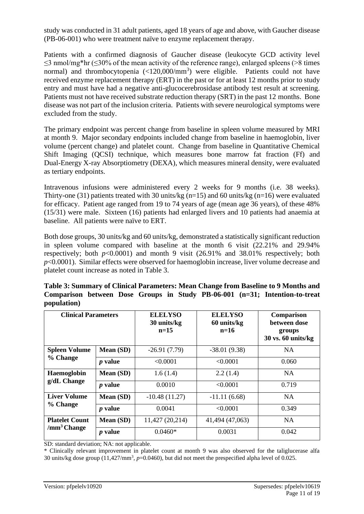study was conducted in 31 adult patients, aged 18 years of age and above, with Gaucher disease (PB-06-001) who were treatment naïve to enzyme replacement therapy.

Patients with a confirmed diagnosis of Gaucher disease (leukocyte GCD activity level  $\leq$ 3 nmol/mg\*hr ( $\leq$ 30% of the mean activity of the reference range), enlarged spleens (>8 times normal) and thrombocytopenia (<120,000/mm<sup>3</sup>) were eligible. Patients could not have received enzyme replacement therapy (ERT) in the past or for at least 12 months prior to study entry and must have had a negative anti-glucocerebrosidase antibody test result at screening. Patients must not have received substrate reduction therapy (SRT) in the past 12 months. Bone disease was not part of the inclusion criteria. Patients with severe neurological symptoms were excluded from the study.

The primary endpoint was percent change from baseline in spleen volume measured by MRI at month 9. Major secondary endpoints included change from baseline in haemoglobin, liver volume (percent change) and platelet count. Change from baseline in Quantitative Chemical Shift Imaging (QCSI) technique, which measures bone marrow fat fraction (Ff) and Dual-Energy X-ray Absorptiometry (DEXA), which measures mineral density, were evaluated as tertiary endpoints.

Intravenous infusions were administered every 2 weeks for 9 months (i.e. 38 weeks). Thirty-one (31) patients treated with 30 units/kg ( $n=15$ ) and 60 units/kg ( $n=16$ ) were evaluated for efficacy. Patient age ranged from 19 to 74 years of age (mean age 36 years), of these 48% (15/31) were male. Sixteen (16) patients had enlarged livers and 10 patients had anaemia at baseline. All patients were naïve to ERT.

Both dose groups, 30 units/kg and 60 units/kg, demonstrated a statistically significant reduction in spleen volume compared with baseline at the month 6 visit (22.21% and 29.94% respectively; both  $p<0.0001$ ) and month 9 visit (26.91% and 38.01% respectively; both *p*<0.0001). Similar effects were observed for haemoglobin increase, liver volume decrease and platelet count increase as noted in [Table 3.](#page-10-0)

| <b>Clinical Parameters</b>                       |                | <b>ELELYSO</b><br>30 units/kg<br>$n=15$ | <b>ELELYSO</b><br>60 units/kg<br>$n=16$ | Comparison<br>between dose<br>groups<br>$30$ vs. 60 units/kg |
|--------------------------------------------------|----------------|-----------------------------------------|-----------------------------------------|--------------------------------------------------------------|
| <b>Spleen Volume</b>                             | Mean (SD)      | $-26.91(7.79)$                          | $-38.01(9.38)$                          | <b>NA</b>                                                    |
| % Change                                         | <i>p</i> value | < 0.0001                                | < 0.0001                                | 0.060                                                        |
| Haemoglobin<br>g/dL Change                       | Mean (SD)      | 1.6(1.4)                                | 2.2(1.4)                                | <b>NA</b>                                                    |
|                                                  | <i>p</i> value | 0.0010                                  | < 0.0001                                | 0.719                                                        |
| <b>Liver Volume</b>                              | Mean (SD)      | $-10.48(11.27)$                         | $-11.11(6.68)$                          | <b>NA</b>                                                    |
| % Change                                         | <i>p</i> value | 0.0041                                  | < 0.0001                                | 0.349                                                        |
| <b>Platelet Count</b><br>/mm <sup>3</sup> Change | Mean (SD)      | 11,427 (20,214)                         | 41,494 (47,063)                         | <b>NA</b>                                                    |
|                                                  | <i>p</i> value | $0.0460*$                               | 0.0031                                  | 0.042                                                        |

<span id="page-10-0"></span>**Table 3: Summary of Clinical Parameters: Mean Change from Baseline to 9 Months and Comparison between Dose Groups in Study PB-06-001 (n=31; Intention-to-treat population)**

SD: standard deviation; NA: not applicable.

\* Clinically relevant improvement in platelet count at month 9 was also observed for the taliglucerase alfa 30 units/kg dose group (11,427/mm<sup>3</sup>, p=0.0460), but did not meet the prespecified alpha level of 0.025.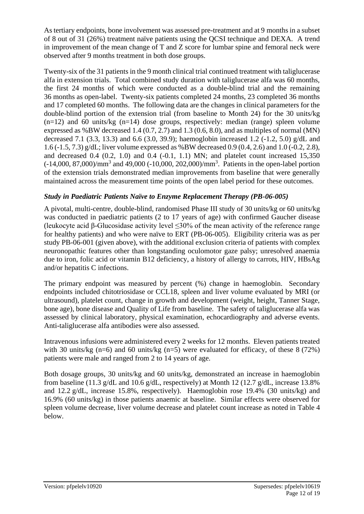As tertiary endpoints, bone involvement was assessed pre-treatment and at 9 months in a subset of 8 out of 31 (26%) treatment naïve patients using the QCSI technique and DEXA. A trend in improvement of the mean change of T and Z score for lumbar spine and femoral neck were observed after 9 months treatment in both dose groups.

Twenty-six of the 31 patients in the 9 month clinical trial continued treatment with taliglucerase alfa in extension trials. Total combined study duration with taliglucerase alfa was 60 months, the first 24 months of which were conducted as a double-blind trial and the remaining 36 months as open-label. Twenty-six patients completed 24 months, 23 completed 36 months and 17 completed 60 months. The following data are the changes in clinical parameters for the double-blind portion of the extension trial (from baseline to Month 24) for the 30 units/kg  $(n=12)$  and 60 units/kg  $(n=14)$  dose groups, respectively: median (range) spleen volume expressed as %BW decreased  $1.4 (0.7, 2.7)$  and  $1.3 (0.6, 8.0)$ , and as multiples of normal (MN) decreased 7.1 (3.3, 13.3) and 6.6 (3.0, 39.9); haemoglobin increased 1.2 (-1.2, 5.0) g/dL and 1.6 (-1.5, 7.3) g/dL; liver volume expressed as %BW decreased 0.9 (0.4, 2.6) and 1.0 (-0.2, 2.8), and decreased  $0.4$   $(0.2, 1.0)$  and  $0.4$   $(-0.1, 1.1)$  MN; and platelet count increased  $15,350$  $(-14,000, 87,000)/mm<sup>3</sup>$  and 49,000 (-10,000, 202,000)/mm<sup>3</sup>. Patients in the open-label portion of the extension trials demonstrated median improvements from baseline that were generally maintained across the measurement time points of the open label period for these outcomes.

### *Study in Paediatric Patients Naïve to Enzyme Replacement Therapy (PB-06-005)*

A pivotal, multi-centre, double-blind, randomised Phase III study of 30 units/kg or 60 units/kg was conducted in paediatric patients (2 to 17 years of age) with confirmed Gaucher disease (leukocyte acid β-Glucosidase activity level ≤30% of the mean activity of the reference range for healthy patients) and who were naïve to ERT (PB-06-005). Eligibility criteria was as per study PB-06-001 (given above), with the additional exclusion criteria of patients with complex neuronopathic features other than longstanding oculomotor gaze palsy; unresolved anaemia due to iron, folic acid or vitamin B12 deficiency, a history of allergy to carrots, HIV, HBsAg and/or hepatitis C infections.

The primary endpoint was measured by percent (%) change in haemoglobin. Secondary endpoints included chitotriosidase or CCL18, spleen and liver volume evaluated by MRI (or ultrasound), platelet count, change in growth and development (weight, height, Tanner Stage, bone age), bone disease and Quality of Life from baseline. The safety of taliglucerase alfa was assessed by clinical laboratory, physical examination, echocardiography and adverse events. Anti-taliglucerase alfa antibodies were also assessed.

Intravenous infusions were administered every 2 weeks for 12 months. Eleven patients treated with 30 units/kg (n=6) and 60 units/kg (n=5) were evaluated for efficacy, of these 8 (72%) patients were male and ranged from 2 to 14 years of age.

Both dosage groups, 30 units/kg and 60 units/kg, demonstrated an increase in haemoglobin from baseline (11.3 g/dL and 10.6 g/dL, respectively) at Month 12 (12.7 g/dL, increase 13.8% and 12.2 g/dL, increase 15.8%, respectively). Haemoglobin rose 19.4% (30 units/kg) and 16.9% (60 units/kg) in those patients anaemic at baseline. Similar effects were observed for spleen volume decrease, liver volume decrease and platelet count increase as noted in [Table 4](#page-12-0) below.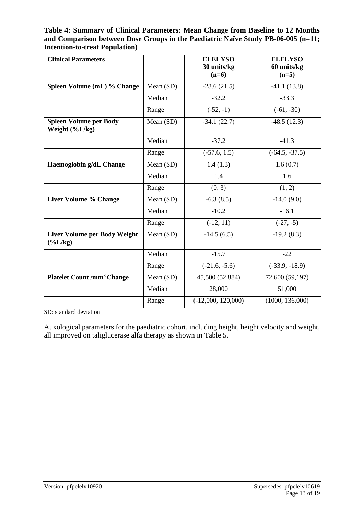#### <span id="page-12-0"></span>**Table 4: Summary of Clinical Parameters: Mean Change from Baseline to 12 Months and Comparison between Dose Groups in the Paediatric Naïve Study PB-06-005 (n=11; Intention-to-treat Population)**

| <b>Clinical Parameters</b>                        |           | <b>ELELYSO</b><br>30 units/kg | <b>ELELYSO</b><br>60 units/kg |
|---------------------------------------------------|-----------|-------------------------------|-------------------------------|
|                                                   |           | $(n=6)$                       | $(n=5)$                       |
| Spleen Volume (mL) % Change                       | Mean (SD) | $-28.6(21.5)$                 | $-41.1(13.8)$                 |
|                                                   | Median    | $-32.2$                       | $-33.3$                       |
|                                                   | Range     | $(-52, -1)$                   | $(-61, -30)$                  |
| <b>Spleen Volume per Body</b><br>Weight (%L/kg)   | Mean (SD) | $-34.1(22.7)$                 | $-48.5(12.3)$                 |
|                                                   | Median    | $-37.2$                       | $-41.3$                       |
|                                                   | Range     | $(-57.6, 1.5)$                | $(-64.5, -37.5)$              |
| Haemoglobin g/dL Change                           | Mean (SD) | 1.4(1.3)                      | 1.6(0.7)                      |
|                                                   | Median    | 1.4                           | 1.6                           |
|                                                   | Range     | (0, 3)                        | (1, 2)                        |
| <b>Liver Volume % Change</b>                      | Mean (SD) | $-6.3(8.5)$                   | $-14.0(9.0)$                  |
|                                                   | Median    | $-10.2$                       | $-16.1$                       |
|                                                   | Range     | $(-12, 11)$                   | $(-27, -5)$                   |
| <b>Liver Volume per Body Weight</b><br>$(\%L/kg)$ | Mean (SD) | $-14.5(6.5)$                  | $-19.2(8.3)$                  |
|                                                   | Median    | $-15.7$                       | $-22$                         |
|                                                   | Range     | $(-21.6, -5.6)$               | $(-33.9, -18.9)$              |
| <b>Platelet Count /mm<sup>3</sup> Change</b>      | Mean (SD) | 45,500 (52,884)               | 72,600 (59,197)               |
|                                                   | Median    | 28,000                        | 51,000                        |
|                                                   | Range     | $(-12,000, 120,000)$          | (1000, 136,000)               |

SD: standard deviation

Auxological parameters for the paediatric cohort, including height, height velocity and weight, all improved on taliglucerase alfa therapy as shown in [Table 5.](#page-13-0)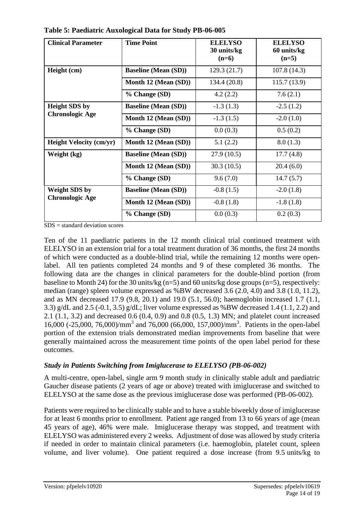| <b>Clinical Parameter</b>                      | <b>Time Point</b>           | <b>ELELYSO</b><br>30 units/kg<br>$(n=6)$ | <b>ELELYSO</b><br>60 units/kg<br>$(n=5)$ |
|------------------------------------------------|-----------------------------|------------------------------------------|------------------------------------------|
| Height (cm)                                    | <b>Baseline (Mean (SD))</b> | 129.3 (21.7)                             | 107.8(14.3)                              |
|                                                | Month 12 (Mean (SD))        | 134.4 (20.8)                             | 115.7(13.9)                              |
|                                                | % Change (SD)               | 4.2(2.2)                                 | 7.6(2.1)                                 |
| <b>Height SDS by</b><br><b>Chronologic Age</b> | <b>Baseline (Mean (SD))</b> | $-1.3(1.3)$                              | $-2.5(1.2)$                              |
|                                                | Month 12 (Mean (SD))        | $-1.3(1.5)$                              | $-2.0(1.0)$                              |
|                                                | % Change (SD)               | 0.0(0.3)                                 | 0.5(0.2)                                 |
| <b>Height Velocity (cm/yr)</b>                 | Month 12 (Mean (SD))        | 5.1(2.2)                                 | 8.0(1.3)                                 |
| Weight (kg)                                    | <b>Baseline (Mean (SD))</b> | 27.9(10.5)                               | 17.7(4.8)                                |
|                                                | Month 12 (Mean (SD))        | 30.3(10.5)                               | 20.4(6.0)                                |
|                                                | % Change (SD)               | 9.6(7.0)                                 | 14.7(5.7)                                |
| <b>Weight SDS by</b>                           | <b>Baseline (Mean (SD))</b> | $-0.8(1.5)$                              | $-2.0(1.8)$                              |
| <b>Chronologic Age</b>                         | Month 12 (Mean (SD))        | $-0.8(1.8)$                              | $-1.8(1.8)$                              |
|                                                | % Change (SD)               | 0.0(0.3)                                 | 0.2(0.3)                                 |

<span id="page-13-0"></span>**Table 5: Paediatric Auxological Data for Study PB-06-005**

 $SDS = standard deviation scores$ 

Ten of the 11 paediatric patients in the 12 month clinical trial continued treatment with ELELYSO in an extension trial for a total treatment duration of 36 months, the first 24 months of which were conducted as a double-blind trial, while the remaining 12 months were openlabel. All ten patients completed 24 months and 9 of these completed 36 months. The following data are the changes in clinical parameters for the double-blind portion (from baseline to Month 24) for the 30 units/kg (n=5) and 60 units/kg dose groups (n=5), respectively: median (range) spleen volume expressed as %BW decreased 3.6 (2.0, 4.0) and 3.8 (1.0, 11.2), and as MN decreased 17.9 (9.8, 20.1) and 19.0 (5.1, 56.0); haemoglobin increased 1.7 (1.1, 3.3) g/dL and 2.5 (-0.1, 3.5) g/dL; liver volume expressed as %BW decreased 1.4 (1.1, 2.2) and 2.1 (1.1, 3.2) and decreased 0.6 (0.4, 0.9) and 0.8 (0.5, 1.3) MN; and platelet count increased 16,000 (-25,000, 76,000)/mm<sup>3</sup> and 76,000 (66,000, 157,000)/mm<sup>3</sup>. Patients in the open-label portion of the extension trials demonstrated median improvements from baseline that were generally maintained across the measurement time points of the open label period for these outcomes.

### *Study in Patients Switching from Imiglucerase to ELELYSO (PB-06-002)*

A multi-centre, open-label, single arm 9 month study in clinically stable adult and paediatric Gaucher disease patients (2 years of age or above) treated with imiglucerase and switched to ELELYSO at the same dose as the previous imiglucerase dose was performed (PB-06-002).

Patients were required to be clinically stable and to have a stable biweekly dose of imiglucerase for at least 6 months prior to enrollment. Patient age ranged from 13 to 66 years of age (mean 45 years of age), 46% were male. Imiglucerase therapy was stopped, and treatment with ELELYSO was administered every 2 weeks. Adjustment of dose was allowed by study criteria if needed in order to maintain clinical parameters (i.e. haemoglobin, platelet count, spleen volume, and liver volume). One patient required a dose increase (from 9.5 units/kg to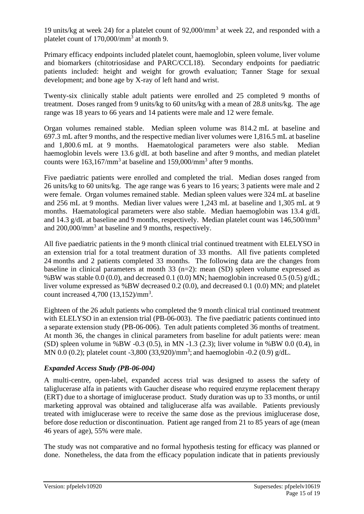19 units/kg at week 24) for a platelet count of 92,000/mm<sup>3</sup> at week 22, and responded with a platelet count of 170,000/mm<sup>3</sup> at month 9.

Primary efficacy endpoints included platelet count, haemoglobin, spleen volume, liver volume and biomarkers (chitotriosidase and PARC/CCL18). Secondary endpoints for paediatric patients included: height and weight for growth evaluation; Tanner Stage for sexual development; and bone age by X-ray of left hand and wrist.

Twenty-six clinically stable adult patients were enrolled and 25 completed 9 months of treatment. Doses ranged from 9 units/kg to 60 units/kg with a mean of 28.8 units/kg. The age range was 18 years to 66 years and 14 patients were male and 12 were female.

Organ volumes remained stable. Median spleen volume was 814.2 mL at baseline and 697.3 mL after 9 months, and the respective median liver volumes were 1,816.5 mL at baseline and 1,800.6 mL at 9 months. Haematological parameters were also stable. Median haemoglobin levels were 13.6 g/dL at both baseline and after 9 months, and median platelet counts were  $163, 167/\text{mm}^3$  at baseline and  $159,000/\text{mm}^3$  after 9 months.

Five paediatric patients were enrolled and completed the trial. Median doses ranged from 26 units/kg to 60 units/kg. The age range was 6 years to 16 years; 3 patients were male and 2 were female. Organ volumes remained stable. Median spleen values were 324 mL at baseline and 256 mL at 9 months. Median liver values were 1,243 mL at baseline and 1,305 mL at 9 months. Haematological parameters were also stable. Median haemoglobin was 13.4 g/dL and 14.3 g/dL at baseline and 9 months, respectively. Median platelet count was  $146,500/\text{mm}^3$ and  $200,000/\text{mm}^3$  at baseline and 9 months, respectively.

All five paediatric patients in the 9 month clinical trial continued treatment with ELELYSO in an extension trial for a total treatment duration of 33 months. All five patients completed 24 months and 2 patients completed 33 months. The following data are the changes from baseline in clinical parameters at month 33 (n=2): mean (SD) spleen volume expressed as %BW was stable 0.0 (0.0), and decreased 0.1 (0.0) MN; haemoglobin increased 0.5 (0.5)  $g/dL$ ; liver volume expressed as %BW decreased 0.2 (0.0), and decreased 0.1 (0.0) MN; and platelet count increased 4,700 (13,152)/mm<sup>3</sup>.

Eighteen of the 26 adult patients who completed the 9 month clinical trial continued treatment with ELELYSO in an extension trial (PB-06-003). The five paediatric patients continued into a separate extension study (PB-06-006). Ten adult patients completed 36 months of treatment. At month 36, the changes in clinical parameters from baseline for adult patients were: mean (SD) spleen volume in %BW -0.3 (0.5), in MN -1.3 (2.3); liver volume in %BW 0.0 (0.4), in MN 0.0 (0.2); platelet count -3,800 (33,920)/mm<sup>3</sup>; and haemoglobin -0.2 (0.9) g/dL.

### *Expanded Access Study (PB-06-004)*

A multi-centre, open-label, expanded access trial was designed to assess the safety of taliglucerase alfa in patients with Gaucher disease who required enzyme replacement therapy (ERT) due to a shortage of imiglucerase product. Study duration was up to 33 months, or until marketing approval was obtained and taliglucerase alfa was available. Patients previously treated with imiglucerase were to receive the same dose as the previous imiglucerase dose, before dose reduction or discontinuation. Patient age ranged from 21 to 85 years of age (mean 46 years of age), 55% were male.

The study was not comparative and no formal hypothesis testing for efficacy was planned or done. Nonetheless, the data from the efficacy population indicate that in patients previously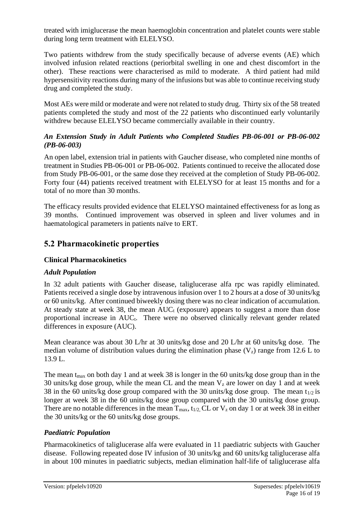treated with imiglucerase the mean haemoglobin concentration and platelet counts were stable during long term treatment with ELELYSO.

Two patients withdrew from the study specifically because of adverse events (AE) which involved infusion related reactions (periorbital swelling in one and chest discomfort in the other). These reactions were characterised as mild to moderate. A third patient had mild hypersensitivity reactions during many of the infusions but was able to continue receiving study drug and completed the study.

Most AEs were mild or moderate and were not related to study drug. Thirty six of the 58 treated patients completed the study and most of the 22 patients who discontinued early voluntarily withdrew because ELELYSO became commercially available in their country.

### *An Extension Study in Adult Patients who Completed Studies PB-06-001 or PB-06-002 (PB-06-003)*

An open label, extension trial in patients with Gaucher disease, who completed nine months of treatment in Studies PB-06-001 or PB-06-002. Patients continued to receive the allocated dose from Study PB-06-001, or the same dose they received at the completion of Study PB-06-002. Forty four (44) patients received treatment with ELELYSO for at least 15 months and for a total of no more than 30 months.

The efficacy results provided evidence that ELELYSO maintained effectiveness for as long as 39 months. Continued improvement was observed in spleen and liver volumes and in haematological parameters in patients naïve to ERT.

# **5.2 Pharmacokinetic properties**

### **Clinical Pharmacokinetics**

#### *Adult Population*

In 32 adult patients with Gaucher disease, taliglucerase alfa rpc was rapidly eliminated. Patients received a single dose by intravenous infusion over 1 to 2 hours at a dose of 30 units/kg or 60 units/kg. After continued biweekly dosing there was no clear indication of accumulation. At steady state at week 38, the mean  $AUC_t$  (exposure) appears to suggest a more than dose proportional increase in  $AUC_t$ . There were no observed clinically relevant gender related differences in exposure (AUC).

Mean clearance was about 30 L/hr at 30 units/kg dose and 20 L/hr at 60 units/kg dose. The median volume of distribution values during the elimination phase  $(V<sub>z</sub>)$  range from 12.6 L to 13.9 L.

The mean  $t_{\text{max}}$  on both day 1 and at week 38 is longer in the 60 units/kg dose group than in the 30 units/kg dose group, while the mean CL and the mean  $V_z$  are lower on day 1 and at week 38 in the 60 units/kg dose group compared with the 30 units/kg dose group. The mean  $t_{1/2}$  is longer at week 38 in the 60 units/kg dose group compared with the 30 units/kg dose group. There are no notable differences in the mean  $T_{\text{max}}$ ,  $t_{1/2}$ , CL or  $V_z$  on day 1 or at week 38 in either the 30 units/kg or the 60 units/kg dose groups.

### *Paediatric Population*

Pharmacokinetics of taliglucerase alfa were evaluated in 11 paediatric subjects with Gaucher disease. Following repeated dose IV infusion of 30 units/kg and 60 units/kg taliglucerase alfa in about 100 minutes in paediatric subjects, median elimination half-life of taliglucerase alfa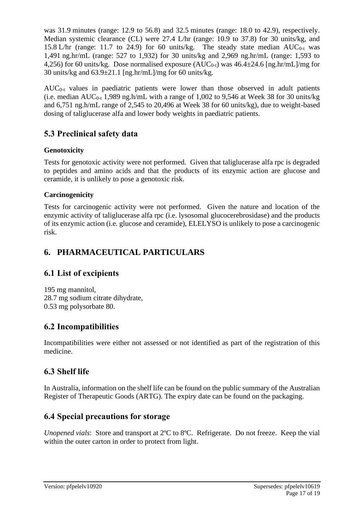was 31.9 minutes (range: 12.9 to 56.8) and 32.5 minutes (range: 18.0 to 42.9), respectively. Median systemic clearance (CL) were 27.4 L/hr (range: 10.9 to 37.8) for 30 units/kg, and 15.8 L/hr (range: 11.7 to 24.9) for 60 units/kg. The steady state median  $AUC_{0-t}$  was 1,491 ng.hr/mL (range: 527 to 1,932) for 30 units/kg and 2,969 ng.hr/mL (range: 1,593 to 4,256) for 60 units/kg. Dose normalised exposure (AUC<sub>0-t</sub>) was  $46.4 \pm 24.6$  [ng.hr/mL]/mg for 30 units/kg and  $63.9\pm21.1$  [ng.hr/mL]/mg for 60 units/kg.

 $AUC_{0-t}$  values in paediatric patients were lower than those observed in adult patients (i.e. median  $AUC_{0-t}$  1,989 ng.h/mL with a range of 1,002 to 9,546 at Week 38 for 30 units/kg and 6,751 ng.h/mL range of 2,545 to 20,496 at Week 38 for 60 units/kg), due to weight-based dosing of taliglucerase alfa and lower body weights in paediatric patients.

# **5.3 Preclinical safety data**

# **Genotoxicity**

Tests for genotoxic activity were not performed. Given that taliglucerase alfa rpc is degraded to peptides and amino acids and that the products of its enzymic action are glucose and ceramide, it is unlikely to pose a genotoxic risk.

# **Carcinogenicity**

Tests for carcinogenic activity were not performed. Given the nature and location of the enzymic activity of taliglucerase alfa rpc (i.e. lysosomal glucocerebrosidase) and the products of its enzymic action (i.e. glucose and ceramide), ELELYSO is unlikely to pose a carcinogenic risk.

# **6. PHARMACEUTICAL PARTICULARS**

# **6.1 List of excipients**

195 mg mannitol, 28.7 mg sodium citrate dihydrate, 0.53 mg polysorbate 80.

# **6.2 Incompatibilities**

Incompatibilities were either not assessed or not identified as part of the registration of this medicine.

# **6.3 Shelf life**

In Australia, information on the shelf life can be found on the public summary of the Australian Register of Therapeutic Goods (ARTG). The expiry date can be found on the packaging.

# **6.4 Special precautions for storage**

*Unopened vials*: Store and transport at 2ºC to 8ºC. Refrigerate. Do not freeze. Keep the vial within the outer carton in order to protect from light.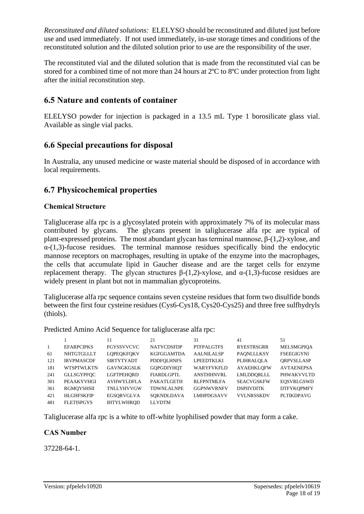*Reconstituted and diluted solutions:* ELELYSO should be reconstituted and diluted just before use and used immediately. If not used immediately, in-use storage times and conditions of the reconstituted solution and the diluted solution prior to use are the responsibility of the user.

The reconstituted vial and the diluted solution that is made from the reconstituted vial can be stored for a combined time of not more than 24 hours at 2ºC to 8ºC under protection from light after the initial reconstitution step.

# **6.5 Nature and contents of container**

ELELYSO powder for injection is packaged in a 13.5 mL Type 1 borosilicate glass vial. Available as single vial packs.

# **6.6 Special precautions for disposal**

In Australia, any unused medicine or waste material should be disposed of in accordance with local requirements.

# **6.7 Physicochemical properties**

### **Chemical Structure**

Taliglucerase alfa rpc is a glycosylated protein with approximately 7% of its molecular mass contributed by glycans. The glycans present in taliglucerase alfa rpc are typical of plant-expressed proteins. The most abundant glycan has terminal mannose, β-(1,2)-xylose, and  $\alpha$ -(1,3)-fucose residues. The terminal mannose residues specifically bind the endocytic mannose receptors on macrophages, resulting in uptake of the enzyme into the macrophages, the cells that accumulate lipid in Gaucher disease and are the target cells for enzyme replacement therapy. The glycan structures  $\beta$ -(1,2)-xylose, and α-(1,3)-fucose residues are widely present in plant but not in mammalian glycoproteins.

Taliglucerase alfa rpc sequence contains seven cysteine residues that form two disulfide bonds between the first four cysteine residues (Cys6-Cys18, Cys20-Cys25) and three free sulfhydryls (thiols).

Predicted Amino Acid Sequence for taliglucerase alfa rpc:

|                |                   | 11                | 21                | 31                | 41                | 51                |
|----------------|-------------------|-------------------|-------------------|-------------------|-------------------|-------------------|
| $\overline{1}$ | <b>EFARPCIPKS</b> | <b>FGYSSVVCVC</b> | <b>NATYCDSFDP</b> | <b>PTFPALGTFS</b> | <b>RYESTRSGRR</b> | <b>MELSMGPIOA</b> |
| 61             | NHTGTGLLLT        | <b>LOPEOKFOKV</b> | <b>KGFGGAMTDA</b> | <b>AALNILALSP</b> | <b>PAONLLLKSY</b> | <b>FSEEGIGYNI</b> |
| 121            | <b>IRVPMASCDF</b> | <b>SIRTYTYADT</b> | <b>PDDFOLHNFS</b> | LPEEDTKLKI        | PLIHRALOLA        | <b>ORPVSLLASP</b> |
| 181            | <b>WTSPTWLKTN</b> | <b>GAVNGKGSLK</b> | <b>GOPGDIYHOT</b> | WARYFVKFLD        | <b>AYAEHKLOFW</b> | <b>AVTAENEPSA</b> |
| 241            | <b>GLLSGYPFOC</b> | <b>LGFTPEHORD</b> | <b>FIARDLGPTL</b> | <b>ANSTHHNVRL</b> | LMLDDORLLL        | PHWAKVVLTD        |
| 301            | PEAAKYVHGI        | <b>AVHWYLDFLA</b> | PAKATLGETH        | <b>RLFPNTMLFA</b> | <b>SEACVGSKFW</b> | <b>EOSVRLGSWD</b> |
| 361            | RGMOYSHSII        | TNLLYHVVGW        | <b>TDWNLALNPE</b> | <b>GGPNWVRNFV</b> | <b>DSPIIVDITK</b> | <b>DTFYKOPMFY</b> |
| 421            | <b>HLGHFSKFIP</b> | EGSORVGLVA        | SOKNDLDAVA        | <b>LMHPDGSAVV</b> | <b>VVLNRSSKDV</b> | <b>PLTIKDPAVG</b> |
| 481            | <b>FLETISPGYS</b> | <b>IHTYLWHROD</b> | <b>LLVDTM</b>     |                   |                   |                   |

Taliglucerase alfa rpc is a white to off-white lyophilised powder that may form a cake.

### **CAS Number**

37228-64-1.